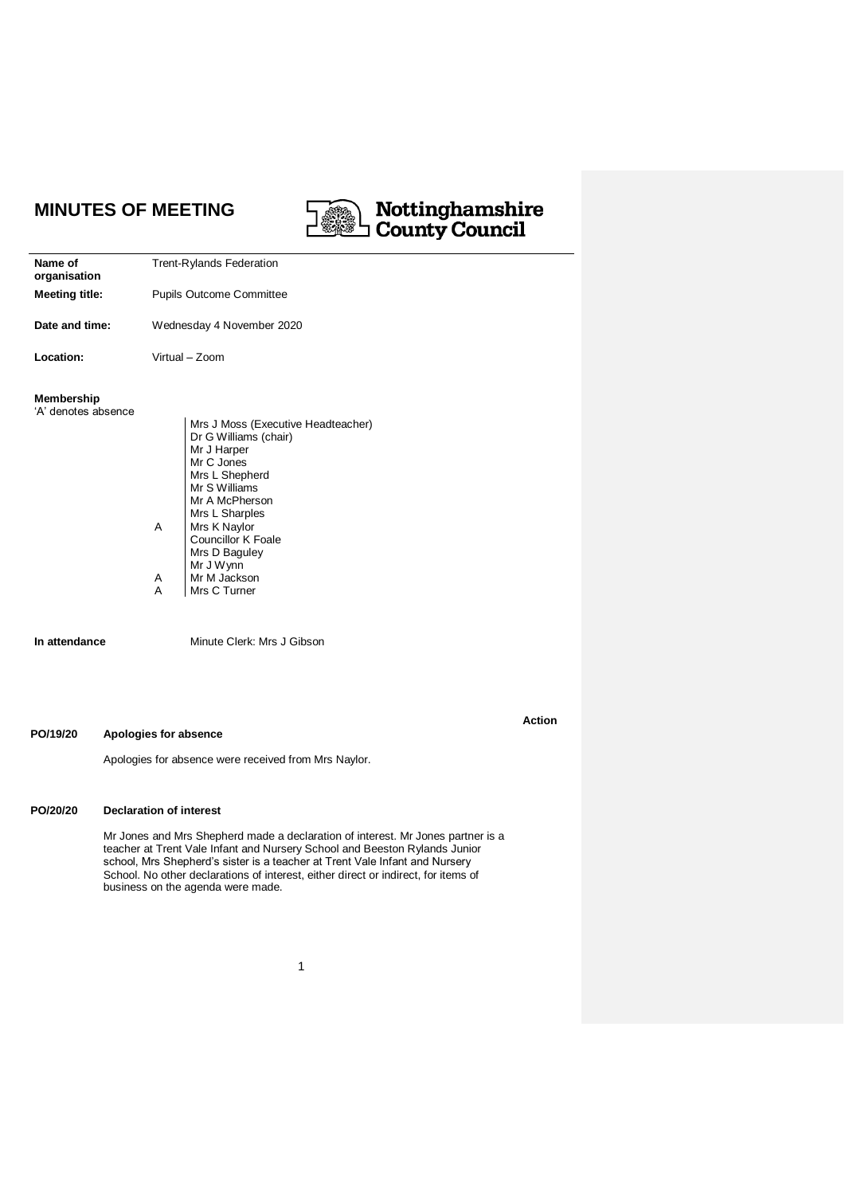# **MINUTES OF MEETING**

# **Mottinghamshire**<br>County Council

**Action**

| Name of<br>organisation                  | <b>Trent-Rylands Federation</b>                                                                            |
|------------------------------------------|------------------------------------------------------------------------------------------------------------|
| <b>Meeting title:</b>                    | <b>Pupils Outcome Committee</b>                                                                            |
| Date and time:                           | Wednesday 4 November 2020                                                                                  |
| Location:                                | Virtual – Zoom                                                                                             |
| <b>Membership</b><br>'A' denotes absence | Mrs J Moss (Executive Headteacher)<br>Dr G Williams (chair)<br>Mr J Harper<br>Mr C Jones<br>Mrs L Shepherd |

Mrs L Shepherd A A A Mr S Williams Mr A McPherson Mrs L Sharples Mrs K Naylor Councillor K Foale Mrs D Baguley Mr J Wynn Mr M Jackson Mrs C Turner

**In attendance** Minute Clerk: Mrs J Gibson

#### **PO/19/20 Apologies for absence**

Apologies for absence were received from Mrs Naylor.

# **PO/20/20 Declaration of interest**

Mr Jones and Mrs Shepherd made a declaration of interest. Mr Jones partner is a teacher at Trent Vale Infant and Nursery School and Beeston Rylands Junior school, Mrs Shepherd's sister is a teacher at Trent Vale Infant and Nursery School. No other declarations of interest, either direct or indirect, for items of business on the agenda were made.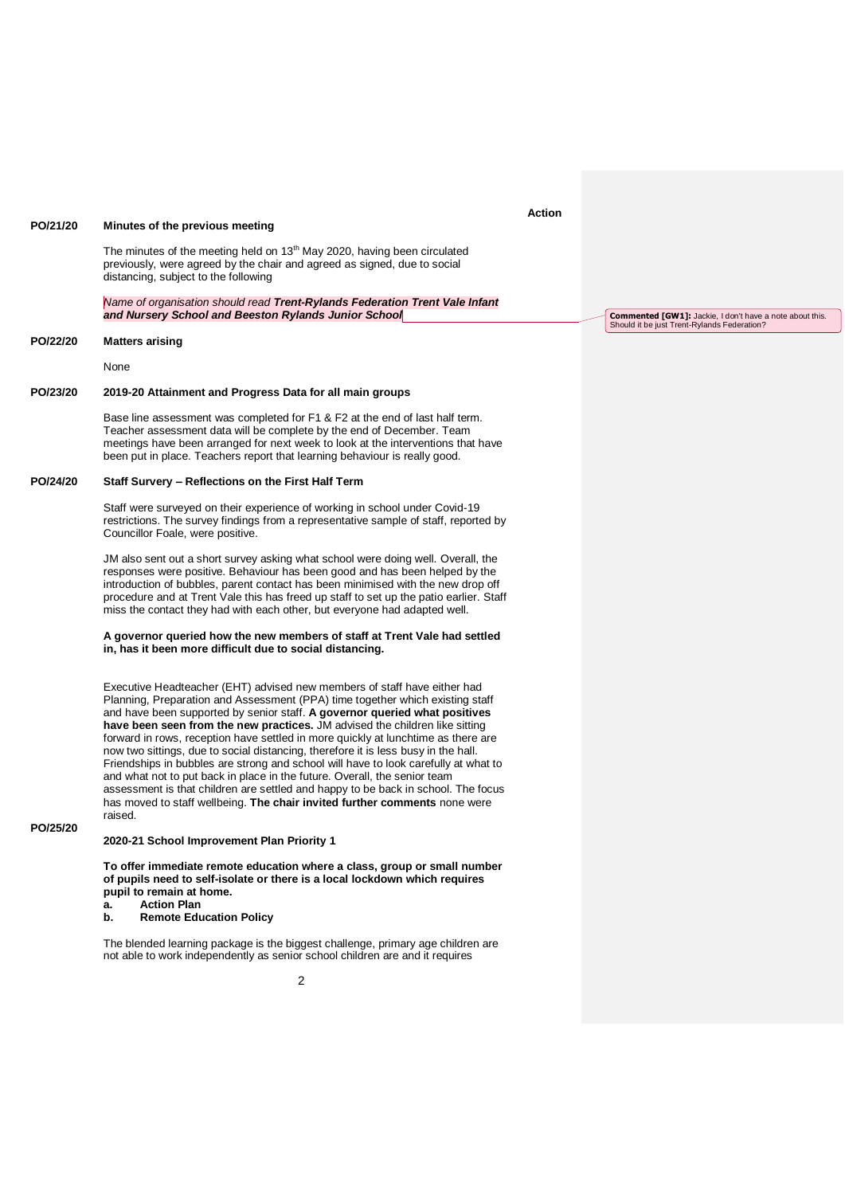#### **PO/21/20 Minutes of the previous meeting**

The minutes of the meeting held on 13<sup>th</sup> May 2020, having been circulated previously, were agreed by the chair and agreed as signed, due to social distancing, subject to the following

*Name of organisation should read Trent-Rylands Federation Trent Vale Infant and Nursery School and Beeston Rylands Junior School*

#### **PO/22/20 Matters arising**

None

#### **PO/23/20 2019-20 Attainment and Progress Data for all main groups**

Base line assessment was completed for F1 & F2 at the end of last half term. Teacher assessment data will be complete by the end of December. Team meetings have been arranged for next week to look at the interventions that have been put in place. Teachers report that learning behaviour is really good.

#### **PO/24/20 Staff Survery – Reflections on the First Half Term**

Staff were surveyed on their experience of working in school under Covid-19 restrictions. The survey findings from a representative sample of staff, reported by Councillor Foale, were positive.

JM also sent out a short survey asking what school were doing well. Overall, the responses were positive. Behaviour has been good and has been helped by the introduction of bubbles, parent contact has been minimised with the new drop off procedure and at Trent Vale this has freed up staff to set up the patio earlier. Staff miss the contact they had with each other, but everyone had adapted well.

#### **A governor queried how the new members of staff at Trent Vale had settled in, has it been more difficult due to social distancing.**

Executive Headteacher (EHT) advised new members of staff have either had Planning, Preparation and Assessment (PPA) time together which existing staff and have been supported by senior staff. **A governor queried what positives have been seen from the new practices.** JM advised the children like sitting forward in rows, reception have settled in more quickly at lunchtime as there are now two sittings, due to social distancing, therefore it is less busy in the hall. Friendships in bubbles are strong and school will have to look carefully at what to and what not to put back in place in the future. Overall, the senior team assessment is that children are settled and happy to be back in school. The focus has moved to staff wellbeing. **The chair invited further comments** none were raised.

#### **PO/25/20**

**2020-21 School Improvement Plan Priority 1**

**To offer immediate remote education where a class, group or small number of pupils need to self-isolate or there is a local lockdown which requires pupil to remain at home. a. Action Plan**

## **b. Remote Education Policy**

The blended learning package is the biggest challenge, primary age children are not able to work independently as senior school children are and it requires

 $\overline{2}$ 

## **Action**

**Commented [GW1]:** Jackie, I don't have a note about this. Should it be just Trent-Rylands Federation?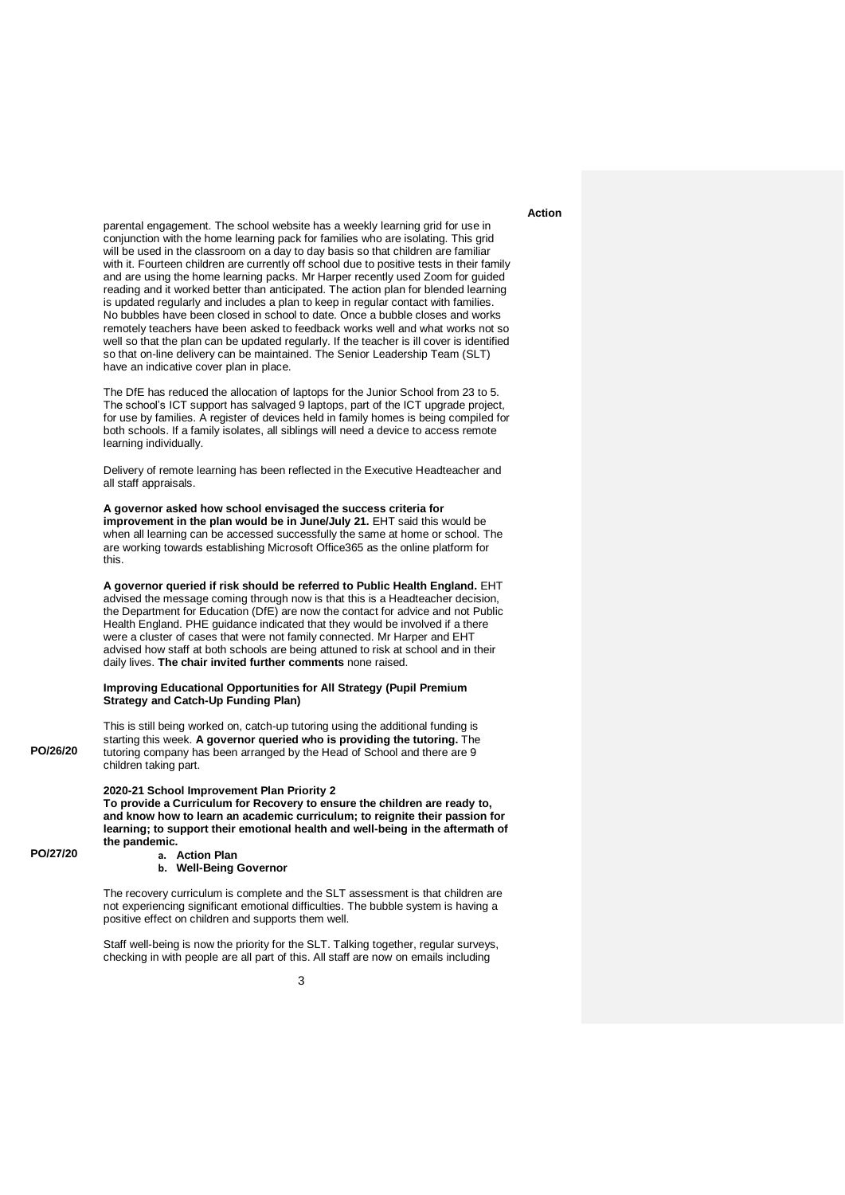## **Action**

parental engagement. The school website has a weekly learning grid for use in conjunction with the home learning pack for families who are isolating. This grid will be used in the classroom on a day to day basis so that children are familiar with it. Fourteen children are currently off school due to positive tests in their family and are using the home learning packs. Mr Harper recently used Zoom for guided reading and it worked better than anticipated. The action plan for blended learning is updated regularly and includes a plan to keep in regular contact with families. No bubbles have been closed in school to date. Once a bubble closes and works remotely teachers have been asked to feedback works well and what works not so well so that the plan can be updated regularly. If the teacher is ill cover is identified so that on-line delivery can be maintained. The Senior Leadership Team (SLT) have an indicative cover plan in place.

The DfE has reduced the allocation of laptops for the Junior School from 23 to 5. The school's ICT support has salvaged 9 laptops, part of the ICT upgrade project, for use by families. A register of devices held in family homes is being compiled for both schools. If a family isolates, all siblings will need a device to access remote learning individually.

Delivery of remote learning has been reflected in the Executive Headteacher and all staff appraisals.

**A governor asked how school envisaged the success criteria for improvement in the plan would be in June/July 21.** EHT said this would be when all learning can be accessed successfully the same at home or school. The are working towards establishing Microsoft Office365 as the online platform for this.

**A governor queried if risk should be referred to Public Health England.** EHT advised the message coming through now is that this is a Headteacher decision, the Department for Education (DfE) are now the contact for advice and not Public Health England. PHE guidance indicated that they would be involved if a there were a cluster of cases that were not family connected. Mr Harper and EHT advised how staff at both schools are being attuned to risk at school and in their daily lives. **The chair invited further comments** none raised.

#### **Improving Educational Opportunities for All Strategy (Pupil Premium Strategy and Catch-Up Funding Plan)**

This is still being worked on, catch-up tutoring using the additional funding is starting this week. **A governor queried who is providing the tutoring.** The tutoring company has been arranged by the Head of School and there are 9 children taking part.

#### **2020-21 School Improvement Plan Priority 2**

**To provide a Curriculum for Recovery to ensure the children are ready to, and know how to learn an academic curriculum; to reignite their passion for learning; to support their emotional health and well-being in the aftermath of the pandemic. a. Action Plan**

**PO/27/20**

**PO/26/20**

#### **b. Well-Being Governor**

The recovery curriculum is complete and the SLT assessment is that children are not experiencing significant emotional difficulties. The bubble system is having a positive effect on children and supports them well.

Staff well-being is now the priority for the SLT. Talking together, regular surveys, checking in with people are all part of this. All staff are now on emails including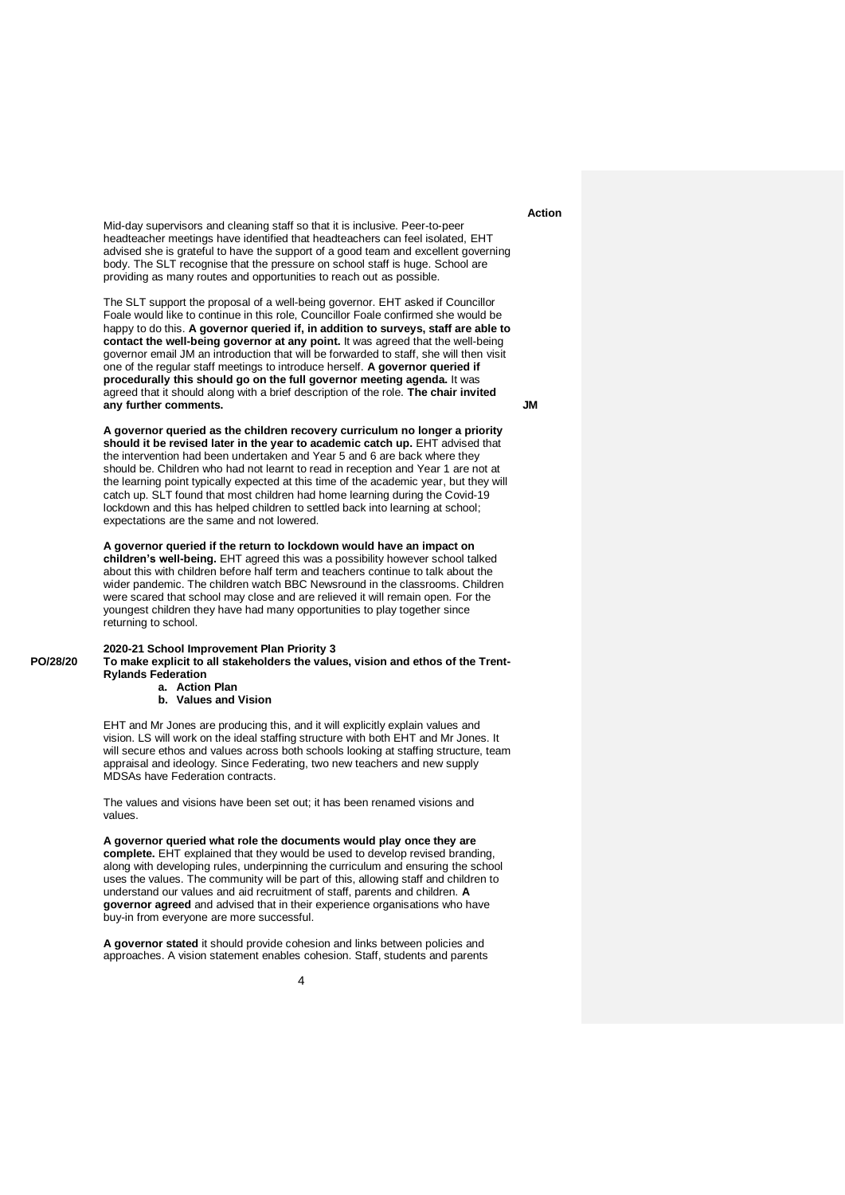Mid-day supervisors and cleaning staff so that it is inclusive. Peer-to-peer headteacher meetings have identified that headteachers can feel isolated, EHT advised she is grateful to have the support of a good team and excellent governing body. The SLT recognise that the pressure on school staff is huge. School are providing as many routes and opportunities to reach out as possible.

The SLT support the proposal of a well-being governor. EHT asked if Councillor Foale would like to continue in this role, Councillor Foale confirmed she would be happy to do this. **A governor queried if, in addition to surveys, staff are able to contact the well-being governor at any point.** It was agreed that the well-being governor email JM an introduction that will be forwarded to staff, she will then visit one of the regular staff meetings to introduce herself. **A governor queried if procedurally this should go on the full governor meeting agenda.** It was agreed that it should along with a brief description of the role. **The chair invited any further comments.**

**A governor queried as the children recovery curriculum no longer a priority should it be revised later in the year to academic catch up.** EHT advised that the intervention had been undertaken and Year 5 and 6 are back where they should be. Children who had not learnt to read in reception and Year 1 are not at the learning point typically expected at this time of the academic year, but they will catch up. SLT found that most children had home learning during the Covid-19 lockdown and this has helped children to settled back into learning at school; expectations are the same and not lowered.

**A governor queried if the return to lockdown would have an impact on children's well-being.** EHT agreed this was a possibility however school talked about this with children before half term and teachers continue to talk about the wider pandemic. The children watch BBC Newsround in the classrooms. Children were scared that school may close and are relieved it will remain open. For the youngest children they have had many opportunities to play together since returning to school.

## **2020-21 School Improvement Plan Priority 3**

**PO/28/20**

**To make explicit to all stakeholders the values, vision and ethos of the Trent-Rylands Federation**

#### **a. Action Plan b. Values and Vision**

EHT and Mr Jones are producing this, and it will explicitly explain values and vision. LS will work on the ideal staffing structure with both EHT and Mr Jones. It will secure ethos and values across both schools looking at staffing structure, team appraisal and ideology. Since Federating, two new teachers and new supply MDSAs have Federation contracts.

The values and visions have been set out; it has been renamed visions and values.

**A governor queried what role the documents would play once they are complete.** EHT explained that they would be used to develop revised branding, along with developing rules, underpinning the curriculum and ensuring the school uses the values. The community will be part of this, allowing staff and children to understand our values and aid recruitment of staff, parents and children. **A governor agreed** and advised that in their experience organisations who have buy-in from everyone are more successful.

**A governor stated** it should provide cohesion and links between policies and approaches. A vision statement enables cohesion. Staff, students and parents

## **Action**

**JM**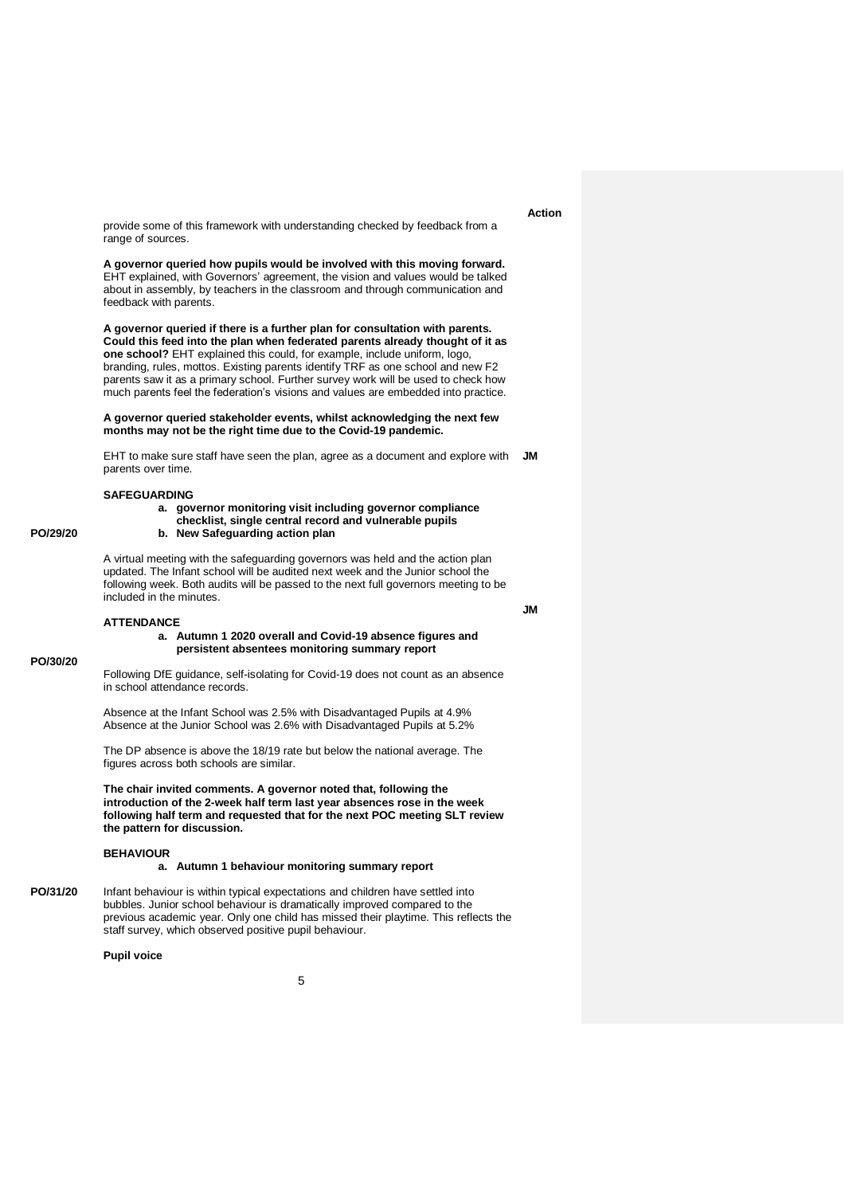provide some of this framework with understanding checked by feedback from a range of sources.

**A governor queried how pupils would be involved with this moving forward.**  EHT explained, with Governors' agreement, the vision and values would be talked about in assembly, by teachers in the classroom and through communication and feedback with parents.

**A governor queried if there is a further plan for consultation with parents. Could this feed into the plan when federated parents already thought of it as one school?** EHT explained this could, for example, include uniform, logo, branding, rules, mottos. Existing parents identify TRF as one school and new F2 parents saw it as a primary school. Further survey work will be used to check how much parents feel the federation's visions and values are embedded into practice.

**A governor queried stakeholder events, whilst acknowledging the next few months may not be the right time due to the Covid-19 pandemic.** 

EHT to make sure staff have seen the plan, agree as a document and explore with parents over time. **JM**

#### **SAFEGUARDING**

**PO/29/20**

**PO/30/20**

#### **a. governor monitoring visit including governor compliance checklist, single central record and vulnerable pupils**

**b. New Safeguarding action plan**

A virtual meeting with the safeguarding governors was held and the action plan updated. The Infant school will be audited next week and the Junior school the following week. Both audits will be passed to the next full governors meeting to be included in the minutes.

#### **ATTENDANCE**

**a. Autumn 1 2020 overall and Covid-19 absence figures and persistent absentees monitoring summary report**

Following DfE guidance, self-isolating for Covid-19 does not count as an absence in school attendance records.

Absence at the Infant School was 2.5% with Disadvantaged Pupils at 4.9% Absence at the Junior School was 2.6% with Disadvantaged Pupils at 5.2%

The DP absence is above the 18/19 rate but below the national average. The figures across both schools are similar.

**The chair invited comments. A governor noted that, following the introduction of the 2-week half term last year absences rose in the week following half term and requested that for the next POC meeting SLT review the pattern for discussion.**

#### **BEHAVIOUR**

#### **a. Autumn 1 behaviour monitoring summary report**

**PO/31/20** Infant behaviour is within typical expectations and children have settled into bubbles. Junior school behaviour is dramatically improved compared to the previous academic year. Only one child has missed their playtime. This reflects the staff survey, which observed positive pupil behaviour.

## **Pupil voice**

# **Action**

**JM**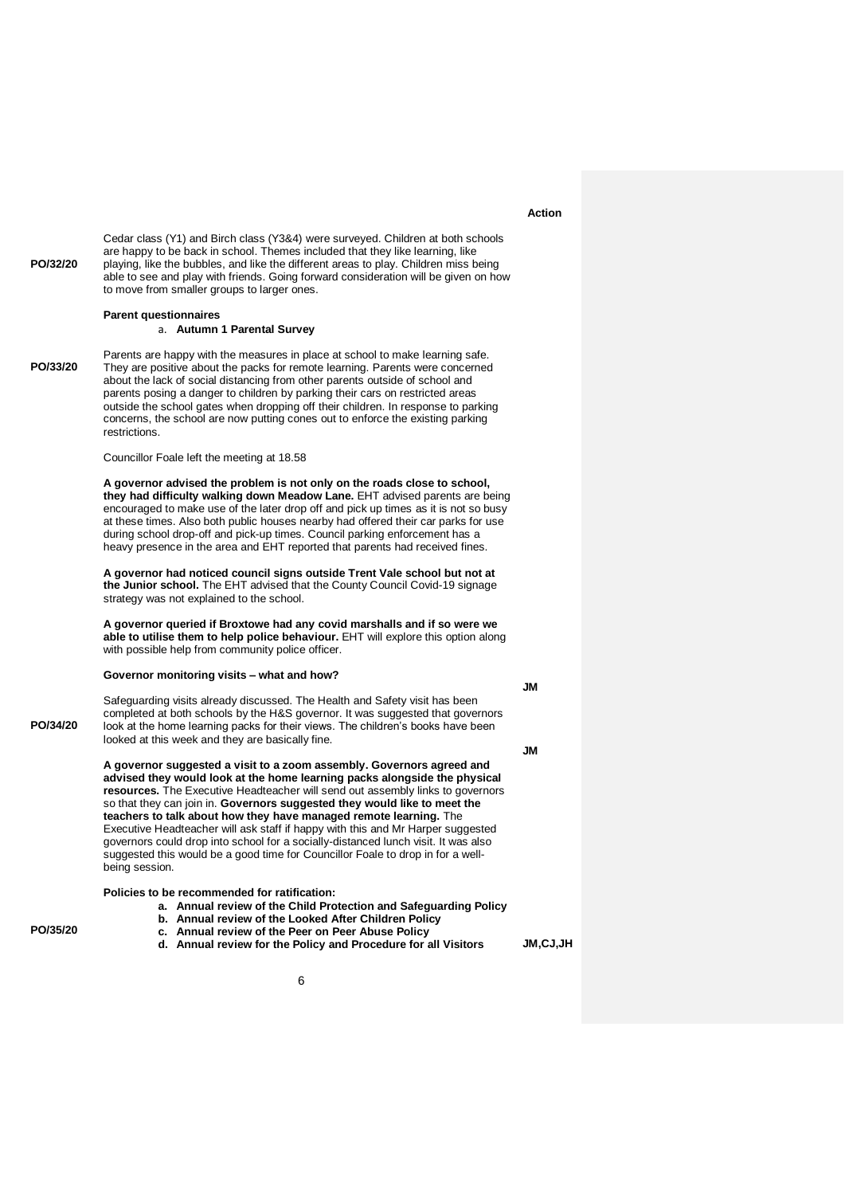#### **Action**

**PO/32/20** Cedar class (Y1) and Birch class (Y3&4) were surveyed. Children at both schools are happy to be back in school. Themes included that they like learning, like playing, like the bubbles, and like the different areas to play. Children miss being able to see and play with friends. Going forward consideration will be given on how to move from smaller groups to larger ones.

#### **Parent questionnaires**

a. **Autumn 1 Parental Survey**

**PO/33/20** Parents are happy with the measures in place at school to make learning safe. They are positive about the packs for remote learning. Parents were concerned about the lack of social distancing from other parents outside of school and parents posing a danger to children by parking their cars on restricted areas outside the school gates when dropping off their children. In response to parking concerns, the school are now putting cones out to enforce the existing parking restrictions.

Councillor Foale left the meeting at 18.58

**A governor advised the problem is not only on the roads close to school, they had difficulty walking down Meadow Lane.** EHT advised parents are being encouraged to make use of the later drop off and pick up times as it is not so busy at these times. Also both public houses nearby had offered their car parks for use during school drop-off and pick-up times. Council parking enforcement has a heavy presence in the area and EHT reported that parents had received fines.

**A governor had noticed council signs outside Trent Vale school but not at the Junior school.** The EHT advised that the County Council Covid-19 signage strategy was not explained to the school.

**A governor queried if Broxtowe had any covid marshalls and if so were we able to utilise them to help police behaviour.** EHT will explore this option along with possible help from community police officer.

#### **Governor monitoring visits – what and how?**

**JM**

Safeguarding visits already discussed. The Health and Safety visit has been completed at both schools by the H&S governor. It was suggested that governors look at the home learning packs for their views. The children's books have been looked at this week and they are basically fine.

**JM**

**A governor suggested a visit to a zoom assembly. Governors agreed and advised they would look at the home learning packs alongside the physical resources.** The Executive Headteacher will send out assembly links to governors so that they can join in. **Governors suggested they would like to meet the teachers to talk about how they have managed remote learning.** The Executive Headteacher will ask staff if happy with this and Mr Harper suggested governors could drop into school for a socially-distanced lunch visit. It was also suggested this would be a good time for Councillor Foale to drop in for a wellbeing session.

**Policies to be recommended for ratification:**

- **a. Annual review of the Child Protection and Safeguarding Policy**
- **b. Annual review of the Looked After Children Policy**
- **c. Annual review of the Peer on Peer Abuse Policy**
- **d. Annual review for the Policy and Procedure for all Visitors**

**JM,CJ,JH**

**PO/35/20**

**PO/34/20**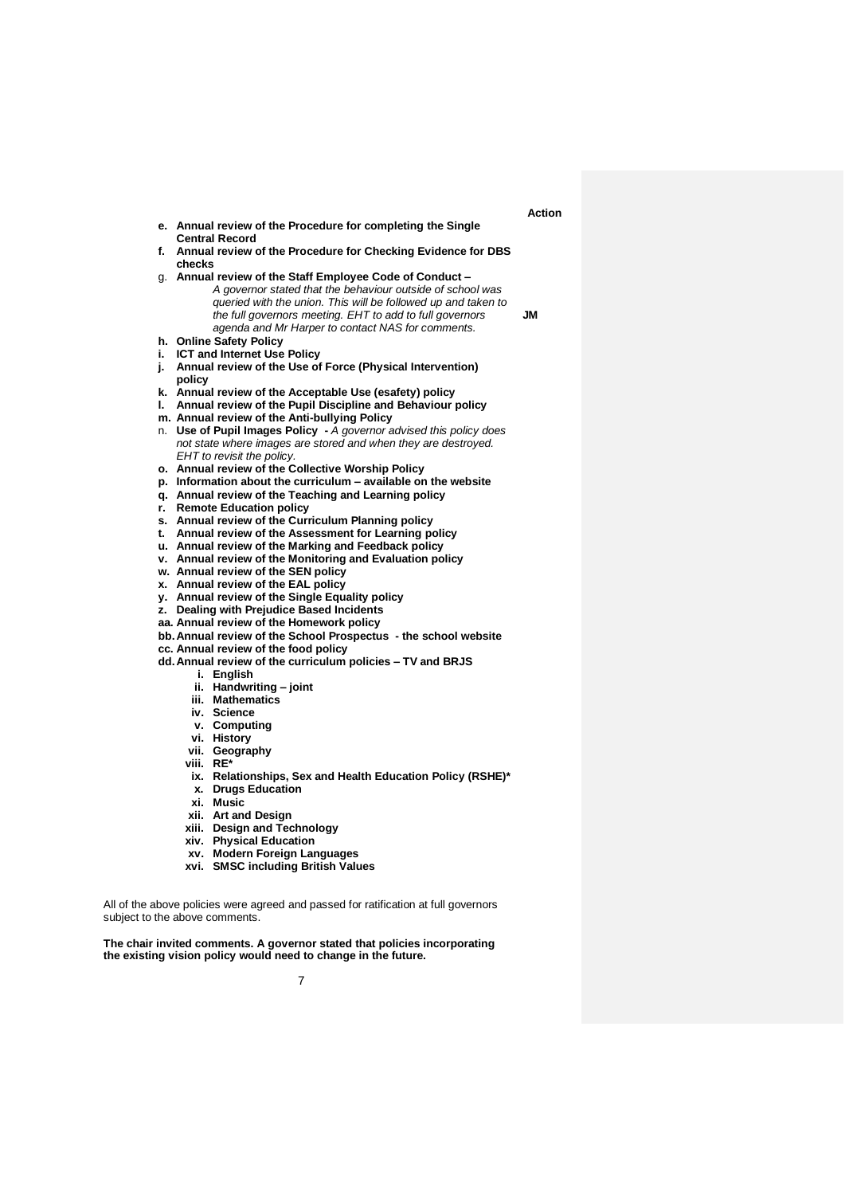- **e. Annual review of the Procedure for completing the Single Central Record**
- **f. Annual review of the Procedure for Checking Evidence for DBS checks**
- g. **Annual review of the Staff Employee Code of Conduct –** *A governor stated that the behaviour outside of school was queried with the union. This will be followed up and taken to the full governors meeting. EHT to add to full governors agenda and Mr Harper to contact NAS for comments.*  **JM**
- **h. Online Safety Policy**
- **i. ICT and Internet Use Policy**
- **j. Annual review of the Use of Force (Physical Intervention) policy**
- **k. Annual review of the Acceptable Use (esafety) policy**
- **l. Annual review of the Pupil Discipline and Behaviour policy**
- **m. Annual review of the Anti-bullying Policy**
- n. **Use of Pupil Images Policy -** *A governor advised this policy does not state where images are stored and when they are destroyed. EHT to revisit the policy.*
- **o. Annual review of the Collective Worship Policy**
- **p. Information about the curriculum – available on the website**
- **q. Annual review of the Teaching and Learning policy**
- **r. Remote Education policy**
- **s. Annual review of the Curriculum Planning policy**
- **t. Annual review of the Assessment for Learning policy**
- **u. Annual review of the Marking and Feedback policy**
- **v. Annual review of the Monitoring and Evaluation policy**
- **w. Annual review of the SEN policy**
- **x. Annual review of the EAL policy**
- **y. Annual review of the Single Equality policy**
- **z. Dealing with Prejudice Based Incidents**
- **aa. Annual review of the Homework policy**
- **bb.Annual review of the School Prospectus - the school website**
- **cc. Annual review of the food policy**
- **dd.Annual review of the curriculum policies – TV and BRJS**
	- **i. English**
	- **ii. Handwriting – joint**
	- **iii. Mathematics**
	- **iv. Science**
	- **v. Computing**
	- **vi. History**
	- **vii. Geography**
	- **viii. RE\***
	- **ix. Relationships, Sex and Health Education Policy (RSHE)\***
	- **x. Drugs Education**
	- **xi. Music**
	- **xii. Art and Design**
	- **xiii. Design and Technology**
	- **xiv. Physical Education**
	- **xv. Modern Foreign Languages**
	- **xvi. SMSC including British Values**

All of the above policies were agreed and passed for ratification at full governors subject to the above comments.

**The chair invited comments. A governor stated that policies incorporating the existing vision policy would need to change in the future.** 

 **Action**